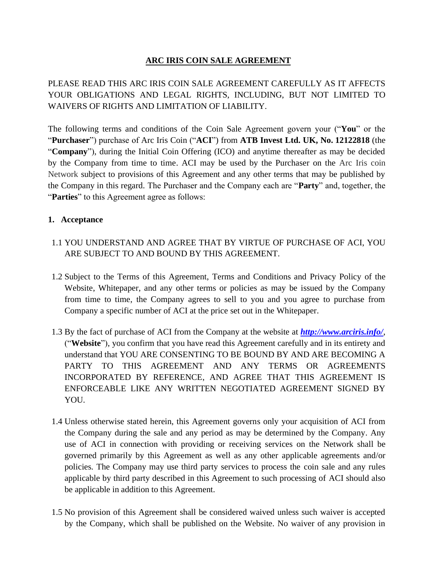# **ARC IRIS COIN SALE AGREEMENT**

PLEASE READ THIS ARC IRIS COIN SALE AGREEMENT CAREFULLY AS IT AFFECTS YOUR OBLIGATIONS AND LEGAL RIGHTS, INCLUDING, BUT NOT LIMITED TO WAIVERS OF RIGHTS AND LIMITATION OF LIABILITY.

The following terms and conditions of the Coin Sale Agreement govern your ("**You**" or the "**Purchaser**") purchase of Arc Iris Coin ("**ACI**") from **ATB Invest Ltd. UK, No. 12122818** (the "**Company**"), during the Initial Coin Offering (ICO) and anytime thereafter as may be decided by the Company from time to time. ACI may be used by the Purchaser on the Arc Iris coin Network subject to provisions of this Agreement and any other terms that may be published by the Company in this regard. The Purchaser and the Company each are "**Party**" and, together, the "**Parties**" to this Agreement agree as follows:

### **1. Acceptance**

- 1.1 YOU UNDERSTAND AND AGREE THAT BY VIRTUE OF PURCHASE OF ACI, YOU ARE SUBJECT TO AND BOUND BY THIS AGREEMENT.
- 1.2 Subject to the Terms of this Agreement, Terms and Conditions and Privacy Policy of the Website, Whitepaper, and any other terms or policies as may be issued by the Company from time to time, the Company agrees to sell to you and you agree to purchase from Company a specific number of ACI at the price set out in the Whitepaper.
- 1.3 By the fact of purchase of ACI from the Company at the website at *<http://www.arciris.info/>*, ("**Website**"), you confirm that you have read this Agreement carefully and in its entirety and understand that YOU ARE CONSENTING TO BE BOUND BY AND ARE BECOMING A PARTY TO THIS AGREEMENT AND ANY TERMS OR AGREEMENTS INCORPORATED BY REFERENCE, AND AGREE THAT THIS AGREEMENT IS ENFORCEABLE LIKE ANY WRITTEN NEGOTIATED AGREEMENT SIGNED BY YOU.
- 1.4 Unless otherwise stated herein, this Agreement governs only your acquisition of ACI from the Company during the sale and any period as may be determined by the Company. Any use of ACI in connection with providing or receiving services on the Network shall be governed primarily by this Agreement as well as any other applicable agreements and/or policies. The Company may use third party services to process the coin sale and any rules applicable by third party described in this Agreement to such processing of ACI should also be applicable in addition to this Agreement.
- 1.5 No provision of this Agreement shall be considered waived unless such waiver is accepted by the Company, which shall be published on the Website. No waiver of any provision in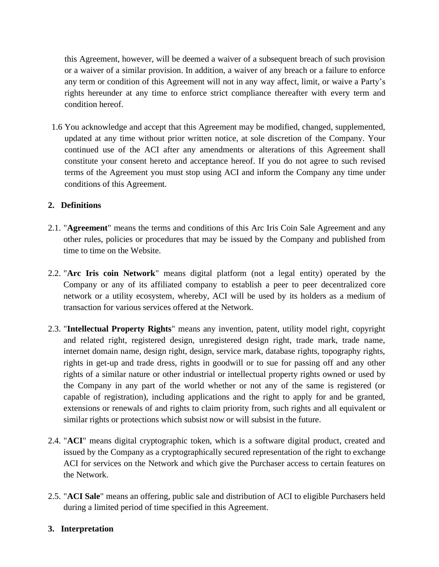this Agreement, however, will be deemed a waiver of a subsequent breach of such provision or a waiver of a similar provision. In addition, a waiver of any breach or a failure to enforce any term or condition of this Agreement will not in any way affect, limit, or waive a Party's rights hereunder at any time to enforce strict compliance thereafter with every term and condition hereof.

1.6 You acknowledge and accept that this Agreement may be modified, changed, supplemented, updated at any time without prior written notice, at sole discretion of the Company. Your continued use of the ACI after any amendments or alterations of this Agreement shall constitute your consent hereto and acceptance hereof. If you do not agree to such revised terms of the Agreement you must stop using ACI and inform the Company any time under conditions of this Agreement.

### **2. Definitions**

- 2.1. "**Agreement**" means the terms and conditions of this Arc Iris Coin Sale Agreement and any other rules, policies or procedures that may be issued by the Company and published from time to time on the Website.
- 2.2. "**Arc Iris coin Network**" means digital platform (not a legal entity) operated by the Company or any of its affiliated company to establish a peer to peer decentralized core network or a utility ecosystem, whereby, ACI will be used by its holders as a medium of transaction for various services offered at the Network.
- 2.3. "**Intellectual Property Rights**" means any invention, patent, utility model right, copyright and related right, registered design, unregistered design right, trade mark, trade name, internet domain name, design right, design, service mark, database rights, topography rights, rights in get-up and trade dress, rights in goodwill or to sue for passing off and any other rights of a similar nature or other industrial or intellectual property rights owned or used by the Company in any part of the world whether or not any of the same is registered (or capable of registration), including applications and the right to apply for and be granted, extensions or renewals of and rights to claim priority from, such rights and all equivalent or similar rights or protections which subsist now or will subsist in the future.
- 2.4. "**ACI**" means digital cryptographic token, which is a software digital product, created and issued by the Company as a cryptographically secured representation of the right to exchange ACI for services on the Network and which give the Purchaser access to certain features on the Network.
- 2.5. "**ACI Sale**" means an offering, public sale and distribution of ACI to eligible Purchasers held during a limited period of time specified in this Agreement.

#### **3. Interpretation**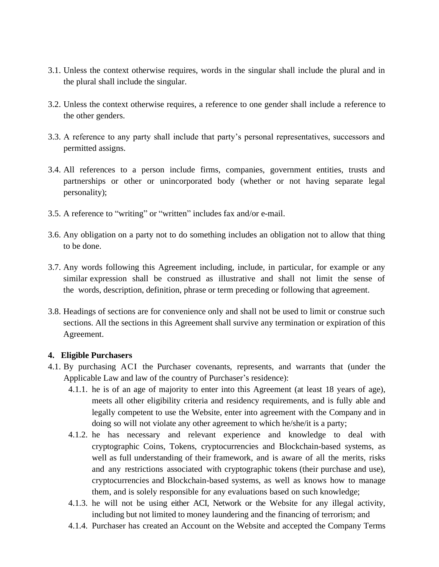- 3.1. Unless the context otherwise requires, words in the singular shall include the plural and in the plural shall include the singular.
- 3.2. Unless the context otherwise requires, a reference to one gender shall include a reference to the other genders.
- 3.3. A reference to any party shall include that party's personal representatives, successors and permitted assigns.
- 3.4. All references to a person include firms, companies, government entities, trusts and partnerships or other or unincorporated body (whether or not having separate legal personality);
- 3.5. A reference to "writing" or "written" includes fax and/or e-mail.
- 3.6. Any obligation on a party not to do something includes an obligation not to allow that thing to be done.
- 3.7. Any words following this Agreement including, include, in particular, for example or any similar expression shall be construed as illustrative and shall not limit the sense of the words, description, definition, phrase or term preceding or following that agreement.
- 3.8. Headings of sections are for convenience only and shall not be used to limit or construe such sections. All the sections in this Agreement shall survive any termination or expiration of this Agreement.

#### **4. Eligible Purchasers**

- 4.1. By purchasing ACI the Purchaser covenants, represents, and warrants that (under the Applicable Law and law of the country of Purchaser's residence):
	- 4.1.1. he is of an age of majority to enter into this Agreement (at least 18 years of age), meets all other eligibility criteria and residency requirements, and is fully able and legally competent to use the Website, enter into agreement with the Company and in doing so will not violate any other agreement to which he/she/it is a party;
	- 4.1.2. he has necessary and relevant experience and knowledge to deal with cryptographic Coins, Tokens, cryptocurrencies and Blockchain-based systems, as well as full understanding of their framework, and is aware of all the merits, risks and any restrictions associated with cryptographic tokens (their purchase and use), cryptocurrencies and Blockchain-based systems, as well as knows how to manage them, and is solely responsible for any evaluations based on such knowledge;
	- 4.1.3. he will not be using either ACI, Network or the Website for any illegal activity, including but not limited to money laundering and the financing of terrorism; and
	- 4.1.4. Purchaser has created an Account on the Website and accepted the Company Terms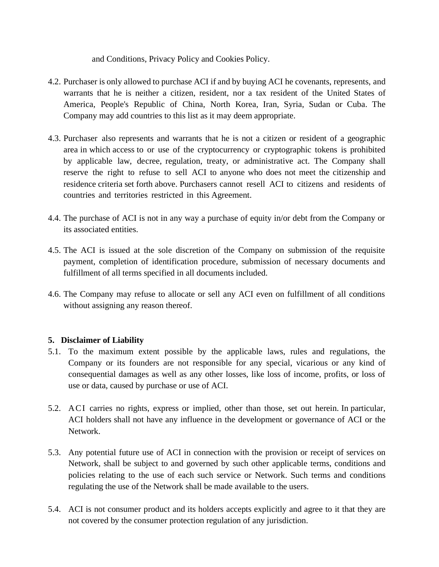and Conditions, Privacy Policy and Cookies Policy.

- 4.2. Purchaser is only allowed to purchase ACI if and by buying ACI he covenants, represents, and warrants that he is neither a citizen, resident, nor a tax resident of the United States of America, People's Republic of China, North Korea, Iran, Syria, Sudan or Cuba. The Company may add countries to this list as it may deem appropriate.
- 4.3. Purchaser also represents and warrants that he is not a citizen or resident of a geographic area in which access to or use of the cryptocurrency or cryptographic tokens is prohibited by applicable law, decree, regulation, treaty, or administrative act. The Company shall reserve the right to refuse to sell ACI to anyone who does not meet the citizenship and residence criteria set forth above. Purchasers cannot resell ACI to citizens and residents of countries and territories restricted in this Agreement.
- 4.4. The purchase of ACI is not in any way a purchase of equity in/or debt from the Company or its associated entities.
- 4.5. The ACI is issued at the sole discretion of the Company on submission of the requisite payment, completion of identification procedure, submission of necessary documents and fulfillment of all terms specified in all documents included.
- 4.6. The Company may refuse to allocate or sell any ACI even on fulfillment of all conditions without assigning any reason thereof.

## **5. Disclaimer of Liability**

- 5.1. To the maximum extent possible by the applicable laws, rules and regulations, the Company or its founders are not responsible for any special, vicarious or any kind of consequential damages as well as any other losses, like loss of income, profits, or loss of use or data, caused by purchase or use of ACI.
- 5.2. ACI carries no rights, express or implied, other than those, set out herein. In particular, ACI holders shall not have any influence in the development or governance of ACI or the Network.
- 5.3. Any potential future use of ACI in connection with the provision or receipt of services on Network, shall be subject to and governed by such other applicable terms, conditions and policies relating to the use of each such service or Network. Such terms and conditions regulating the use of the Network shall be made available to the users.
- 5.4. ACI is not consumer product and its holders accepts explicitly and agree to it that they are not covered by the consumer protection regulation of any jurisdiction.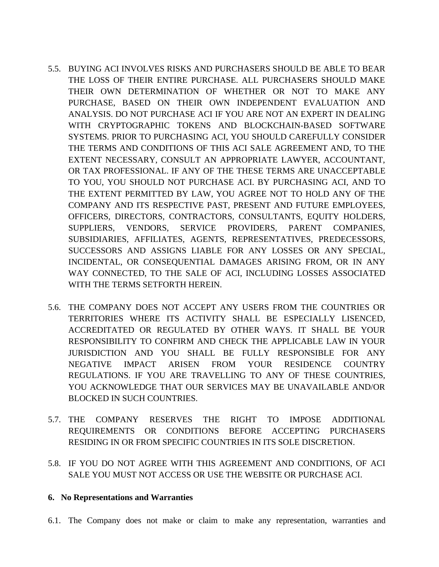- 5.5. BUYING ACI INVOLVES RISKS AND PURCHASERS SHOULD BE ABLE TO BEAR THE LOSS OF THEIR ENTIRE PURCHASE. ALL PURCHASERS SHOULD MAKE THEIR OWN DETERMINATION OF WHETHER OR NOT TO MAKE ANY PURCHASE, BASED ON THEIR OWN INDEPENDENT EVALUATION AND ANALYSIS. DO NOT PURCHASE ACI IF YOU ARE NOT AN EXPERT IN DEALING WITH CRYPTOGRAPHIC TOKENS AND BLOCKCHAIN-BASED SOFTWARE SYSTEMS. PRIOR TO PURCHASING ACI, YOU SHOULD CAREFULLY CONSIDER THE TERMS AND CONDITIONS OF THIS ACI SALE AGREEMENT AND, TO THE EXTENT NECESSARY, CONSULT AN APPROPRIATE LAWYER, ACCOUNTANT, OR TAX PROFESSIONAL. IF ANY OF THE THESE TERMS ARE UNACCEPTABLE TO YOU, YOU SHOULD NOT PURCHASE ACI. BY PURCHASING ACI, AND TO THE EXTENT PERMITTED BY LAW, YOU AGREE NOT TO HOLD ANY OF THE COMPANY AND ITS RESPECTIVE PAST, PRESENT AND FUTURE EMPLOYEES, OFFICERS, DIRECTORS, CONTRACTORS, CONSULTANTS, EQUITY HOLDERS, SUPPLIERS, VENDORS, SERVICE PROVIDERS, PARENT COMPANIES, SUBSIDIARIES, AFFILIATES, AGENTS, REPRESENTATIVES, PREDECESSORS, SUCCESSORS AND ASSIGNS LIABLE FOR ANY LOSSES OR ANY SPECIAL, INCIDENTAL, OR CONSEQUENTIAL DAMAGES ARISING FROM, OR IN ANY WAY CONNECTED, TO THE SALE OF ACI, INCLUDING LOSSES ASSOCIATED WITH THE TERMS SETFORTH HEREIN.
- 5.6. THE COMPANY DOES NOT ACCEPT ANY USERS FROM THE COUNTRIES OR TERRITORIES WHERE ITS ACTIVITY SHALL BE ESPECIALLY LISENCED, ACCREDITATED OR REGULATED BY OTHER WAYS. IT SHALL BE YOUR RESPONSIBILITY TO CONFIRM AND CHECK THE APPLICABLE LAW IN YOUR JURISDICTION AND YOU SHALL BE FULLY RESPONSIBLE FOR ANY NEGATIVE IMPACT ARISEN FROM YOUR RESIDENCE COUNTRY REGULATIONS. IF YOU ARE TRAVELLING TO ANY OF THESE COUNTRIES, YOU ACKNOWLEDGE THAT OUR SERVICES MAY BE UNAVAILABLE AND/OR BLOCKED IN SUCH COUNTRIES.
- 5.7. THE COMPANY RESERVES THE RIGHT TO IMPOSE ADDITIONAL REQUIREMENTS OR CONDITIONS BEFORE ACCEPTING PURCHASERS RESIDING IN OR FROM SPECIFIC COUNTRIES IN ITS SOLE DISCRETION.
- 5.8. IF YOU DO NOT AGREE WITH THIS AGREEMENT AND CONDITIONS, OF ACI SALE YOU MUST NOT ACCESS OR USE THE WEBSITE OR PURCHASE ACI.

#### **6. No Representations and Warranties**

6.1. The Company does not make or claim to make any representation, warranties and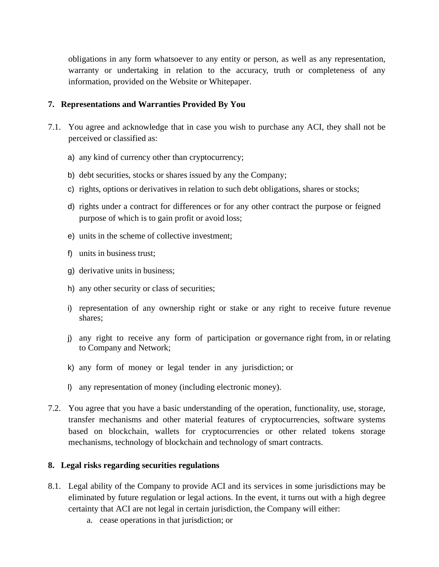obligations in any form whatsoever to any entity or person, as well as any representation, warranty or undertaking in relation to the accuracy, truth or completeness of any information, provided on the Website or Whitepaper.

#### **7. Representations and Warranties Provided By You**

- 7.1. You agree and acknowledge that in case you wish to purchase any ACI, they shall not be perceived or classified as:
	- a) any kind of currency other than cryptocurrency;
	- b) debt securities, stocks or shares issued by any the Company;
	- c) rights, options or derivatives in relation to such debt obligations, shares or stocks;
	- d) rights under a contract for differences or for any other contract the purpose or feigned purpose of which is to gain profit or avoid loss;
	- e) units in the scheme of collective investment;
	- f) units in business trust;
	- g) derivative units in business;
	- h) any other security or class of securities;
	- i) representation of any ownership right or stake or any right to receive future revenue shares;
	- j) any right to receive any form of participation or governance right from, in or relating to Company and Network;
	- k) any form of money or legal tender in any jurisdiction; or
	- l) any representation of money (including electronic money).
- 7.2. You agree that you have a basic understanding of the operation, functionality, use, storage, transfer mechanisms and other material features of cryptocurrencies, software systems based on blockchain, wallets for cryptocurrencies or other related tokens storage mechanisms, technology of blockchain and technology of smart contracts.

#### **8. Legal risks regarding securities regulations**

- 8.1. Legal ability of the Company to provide ACI and its services in some jurisdictions may be eliminated by future regulation or legal actions. In the event, it turns out with a high degree certainty that ACI are not legal in certain jurisdiction, the Company will either:
	- a. cease operations in that jurisdiction; or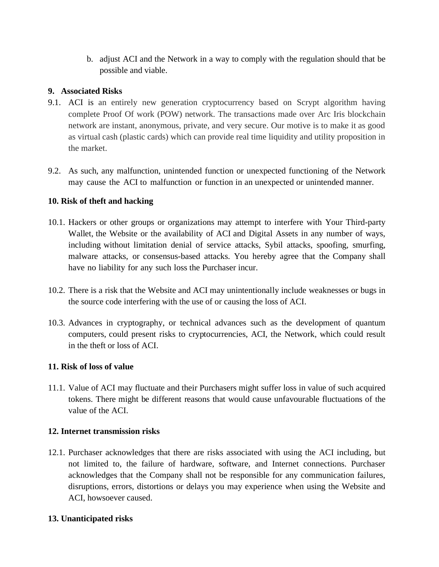b. adjust ACI and the Network in a way to comply with the regulation should that be possible and viable.

### **9. Associated Risks**

- 9.1. ACI is an entirely new generation cryptocurrency based on Scrypt algorithm having complete Proof Of work (POW) network. The transactions made over Arc Iris blockchain network are instant, anonymous, private, and very secure. Our motive is to make it as good as virtual cash (plastic cards) which can provide real time liquidity and utility proposition in the market.
- 9.2. As such, any malfunction, unintended function or unexpected functioning of the Network may cause the ACI to malfunction or function in an unexpected or unintended manner.

### **10. Risk of theft and hacking**

- 10.1. Hackers or other groups or organizations may attempt to interfere with Your Third-party Wallet, the Website or the availability of ACI and Digital Assets in any number of ways, including without limitation denial of service attacks, Sybil attacks, spoofing, smurfing, malware attacks, or consensus-based attacks. You hereby agree that the Company shall have no liability for any such loss the Purchaser incur.
- 10.2. There is a risk that the Website and ACI may unintentionally include weaknesses or bugs in the source code interfering with the use of or causing the loss of ACI.
- 10.3. Advances in cryptography, or technical advances such as the development of quantum computers, could present risks to cryptocurrencies, ACI, the Network, which could result in the theft or loss of ACI.

#### **11. Risk of loss of value**

11.1. Value of ACI may fluctuate and their Purchasers might suffer loss in value of such acquired tokens. There might be different reasons that would cause unfavourable fluctuations of the value of the ACI.

## **12. Internet transmission risks**

12.1. Purchaser acknowledges that there are risks associated with using the ACI including, but not limited to, the failure of hardware, software, and Internet connections. Purchaser acknowledges that the Company shall not be responsible for any communication failures, disruptions, errors, distortions or delays you may experience when using the Website and ACI, howsoever caused.

#### **13. Unanticipated risks**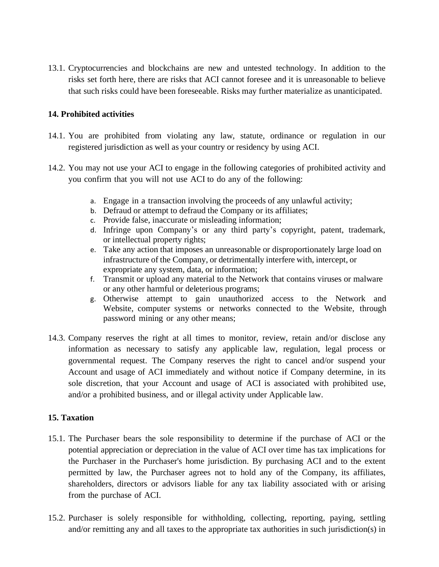13.1. Cryptocurrencies and blockchains are new and untested technology. In addition to the risks set forth here, there are risks that ACI cannot foresee and it is unreasonable to believe that such risks could have been foreseeable. Risks may further materialize as unanticipated.

### **14. Prohibited activities**

- 14.1. You are prohibited from violating any law, statute, ordinance or regulation in our registered jurisdiction as well as your country or residency by using ACI.
- 14.2. You may not use your ACI to engage in the following categories of prohibited activity and you confirm that you will not use ACI to do any of the following:
	- a. Engage in a transaction involving the proceeds of any unlawful activity;
	- b. Defraud or attempt to defraud the Company or its affiliates;
	- c. Provide false, inaccurate or misleading information;
	- d. Infringe upon Company's or any third party's copyright, patent, trademark, or intellectual property rights;
	- e. Take any action that imposes an unreasonable or disproportionately large load on infrastructure of the Company, or detrimentally interfere with, intercept, or expropriate any system, data, or information;
	- f. Transmit or upload any material to the Network that contains viruses or malware or any other harmful or deleterious programs;
	- g. Otherwise attempt to gain unauthorized access to the Network and Website, computer systems or networks connected to the Website, through password mining or any other means;
- 14.3. Company reserves the right at all times to monitor, review, retain and/or disclose any information as necessary to satisfy any applicable law, regulation, legal process or governmental request. The Company reserves the right to cancel and/or suspend your Account and usage of ACI immediately and without notice if Company determine, in its sole discretion, that your Account and usage of ACI is associated with prohibited use, and/or a prohibited business, and or illegal activity under Applicable law.

## **15. Taxation**

- 15.1. The Purchaser bears the sole responsibility to determine if the purchase of ACI or the potential appreciation or depreciation in the value of ACI over time has tax implications for the Purchaser in the Purchaser's home jurisdiction. By purchasing ACI and to the extent permitted by law, the Purchaser agrees not to hold any of the Company, its affiliates, shareholders, directors or advisors liable for any tax liability associated with or arising from the purchase of ACI.
- 15.2. Purchaser is solely responsible for withholding, collecting, reporting, paying, settling and/or remitting any and all taxes to the appropriate tax authorities in such jurisdiction(s) in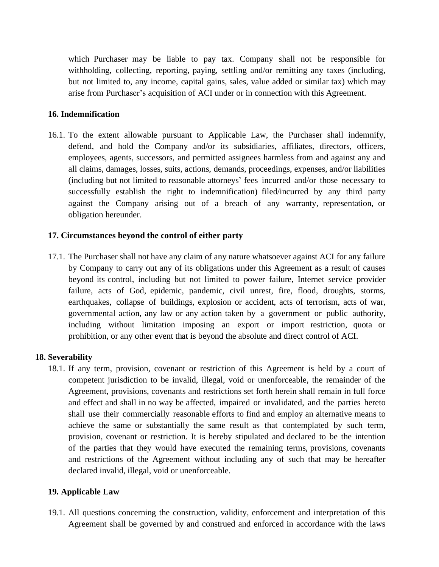which Purchaser may be liable to pay tax. Company shall not be responsible for withholding, collecting, reporting, paying, settling and/or remitting any taxes (including, but not limited to, any income, capital gains, sales, value added or similar tax) which may arise from Purchaser's acquisition of ACI under or in connection with this Agreement.

### **16. Indemnification**

16.1. To the extent allowable pursuant to Applicable Law, the Purchaser shall indemnify, defend, and hold the Company and/or its subsidiaries, affiliates, directors, officers, employees, agents, successors, and permitted assignees harmless from and against any and all claims, damages, losses, suits, actions, demands, proceedings, expenses, and/or liabilities (including but not limited to reasonable attorneys' fees incurred and/or those necessary to successfully establish the right to indemnification) filed/incurred by any third party against the Company arising out of a breach of any warranty, representation, or obligation hereunder.

### **17. Circumstances beyond the control of either party**

17.1. The Purchaser shall not have any claim of any nature whatsoever against ACI for any failure by Company to carry out any of its obligations under this Agreement as a result of causes beyond its control, including but not limited to power failure, Internet service provider failure, acts of God, epidemic, pandemic, civil unrest, fire, flood, droughts, storms, earthquakes, collapse of buildings, explosion or accident, acts of terrorism, acts of war, governmental action, any law or any action taken by a government or public authority, including without limitation imposing an export or import restriction, quota or prohibition, or any other event that is beyond the absolute and direct control of ACI.

#### **18. Severability**

18.1. If any term, provision, covenant or restriction of this Agreement is held by a court of competent jurisdiction to be invalid, illegal, void or unenforceable, the remainder of the Agreement, provisions, covenants and restrictions set forth herein shall remain in full force and effect and shall in no way be affected, impaired or invalidated, and the parties hereto shall use their commercially reasonable efforts to find and employ an alternative means to achieve the same or substantially the same result as that contemplated by such term, provision, covenant or restriction. It is hereby stipulated and declared to be the intention of the parties that they would have executed the remaining terms, provisions, covenants and restrictions of the Agreement without including any of such that may be hereafter declared invalid, illegal, void or unenforceable.

#### **19. Applicable Law**

19.1. All questions concerning the construction, validity, enforcement and interpretation of this Agreement shall be governed by and construed and enforced in accordance with the laws